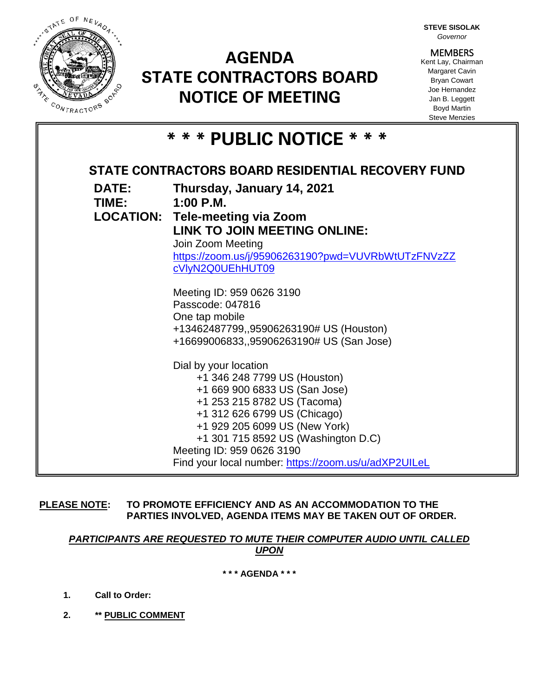

# **AGENDA STATE CONTRACTORS BOARD NOTICE OF MEETING**

**STEVE SISOLAK** *Governor*

**MEMBERS** Kent Lay, Chairman Margaret Cavin Bryan Cowart Joe Hernandez Jan B. Leggett Boyd Martin Steve Menzies

|  |  |  |  | * * * PUBLIC NOTICE * * * |  |  |  |  |  |  |  |  |
|--|--|--|--|---------------------------|--|--|--|--|--|--|--|--|
|--|--|--|--|---------------------------|--|--|--|--|--|--|--|--|

| STATE CONTRACTORS BOARD RESIDENTIAL RECOVERY FUND |                                                                  |  |  |  |  |  |  |
|---------------------------------------------------|------------------------------------------------------------------|--|--|--|--|--|--|
| <b>DATE:</b><br>TIME:                             | Thursday, January 14, 2021<br>$1:00 \text{ P.M.}$                |  |  |  |  |  |  |
|                                                   | <b>LOCATION: Tele-meeting via Zoom</b>                           |  |  |  |  |  |  |
|                                                   | <b>LINK TO JOIN MEETING ONLINE:</b>                              |  |  |  |  |  |  |
|                                                   | Join Zoom Meeting                                                |  |  |  |  |  |  |
|                                                   | https://zoom.us/j/95906263190?pwd=VUVRbWtUTzFNVzZZ               |  |  |  |  |  |  |
|                                                   | cVlyN2Q0UEhHUT09                                                 |  |  |  |  |  |  |
|                                                   |                                                                  |  |  |  |  |  |  |
|                                                   | Meeting ID: 959 0626 3190<br>Passcode: 047816                    |  |  |  |  |  |  |
|                                                   | One tap mobile                                                   |  |  |  |  |  |  |
|                                                   | +13462487799,,95906263190# US (Houston)                          |  |  |  |  |  |  |
|                                                   | +16699006833,,95906263190# US (San Jose)                         |  |  |  |  |  |  |
|                                                   | Dial by your location                                            |  |  |  |  |  |  |
|                                                   | +1 346 248 7799 US (Houston)                                     |  |  |  |  |  |  |
|                                                   | +1 669 900 6833 US (San Jose)                                    |  |  |  |  |  |  |
|                                                   | +1 253 215 8782 US (Tacoma)                                      |  |  |  |  |  |  |
|                                                   | +1 312 626 6799 US (Chicago)                                     |  |  |  |  |  |  |
|                                                   | +1 929 205 6099 US (New York)                                    |  |  |  |  |  |  |
|                                                   | +1 301 715 8592 US (Washington D.C)<br>Meeting ID: 959 0626 3190 |  |  |  |  |  |  |
|                                                   | Find your local number: https://zoom.us/u/adXP2UILeL             |  |  |  |  |  |  |
|                                                   |                                                                  |  |  |  |  |  |  |

**PLEASE NOTE: TO PROMOTE EFFICIENCY AND AS AN ACCOMMODATION TO THE PARTIES INVOLVED, AGENDA ITEMS MAY BE TAKEN OUT OF ORDER.**

*PARTICIPANTS ARE REQUESTED TO MUTE THEIR COMPUTER AUDIO UNTIL CALLED UPON*

**\* \* \* AGENDA \* \* \***

- **1. Call to Order:**
- **2. \*\* PUBLIC COMMENT**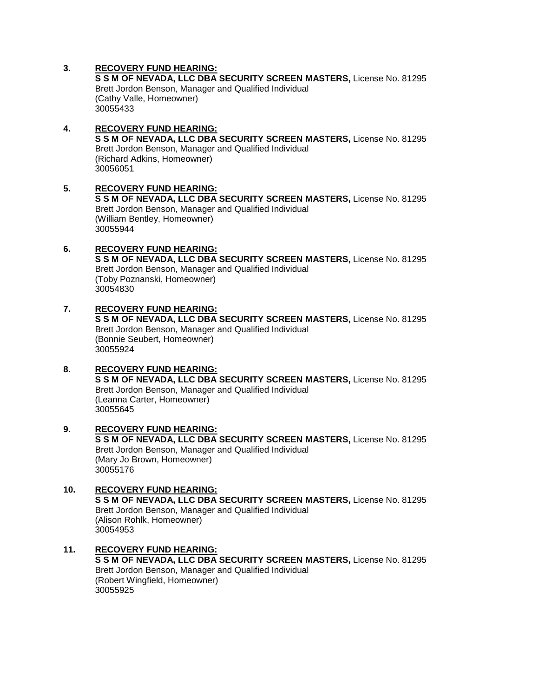## **3. RECOVERY FUND HEARING:**

**S S M OF NEVADA, LLC DBA SECURITY SCREEN MASTERS,** License No. 81295 Brett Jordon Benson, Manager and Qualified Individual (Cathy Valle, Homeowner) 30055433

#### **4. RECOVERY FUND HEARING: S S M OF NEVADA, LLC DBA SECURITY SCREEN MASTERS,** License No. 81295 Brett Jordon Benson, Manager and Qualified Individual (Richard Adkins, Homeowner) 30056051

#### **5. RECOVERY FUND HEARING: S S M OF NEVADA, LLC DBA SECURITY SCREEN MASTERS,** License No. 81295 Brett Jordon Benson, Manager and Qualified Individual (William Bentley, Homeowner) 30055944

# **6. RECOVERY FUND HEARING:**

**S S M OF NEVADA, LLC DBA SECURITY SCREEN MASTERS,** License No. 81295 Brett Jordon Benson, Manager and Qualified Individual (Toby Poznanski, Homeowner) 30054830

#### **7. RECOVERY FUND HEARING: S S M OF NEVADA, LLC DBA SECURITY SCREEN MASTERS,** License No. 81295 Brett Jordon Benson, Manager and Qualified Individual (Bonnie Seubert, Homeowner) 30055924

## **8. RECOVERY FUND HEARING: S S M OF NEVADA, LLC DBA SECURITY SCREEN MASTERS,** License No. 81295 Brett Jordon Benson, Manager and Qualified Individual (Leanna Carter, Homeowner) 30055645

#### **9. RECOVERY FUND HEARING: S S M OF NEVADA, LLC DBA SECURITY SCREEN MASTERS,** License No. 81295 Brett Jordon Benson, Manager and Qualified Individual (Mary Jo Brown, Homeowner) 30055176

## **10. RECOVERY FUND HEARING: S S M OF NEVADA, LLC DBA SECURITY SCREEN MASTERS,** License No. 81295 Brett Jordon Benson, Manager and Qualified Individual (Alison Rohlk, Homeowner) 30054953

## **11. RECOVERY FUND HEARING: S S M OF NEVADA, LLC DBA SECURITY SCREEN MASTERS,** License No. 81295 Brett Jordon Benson, Manager and Qualified Individual (Robert Wingfield, Homeowner) 30055925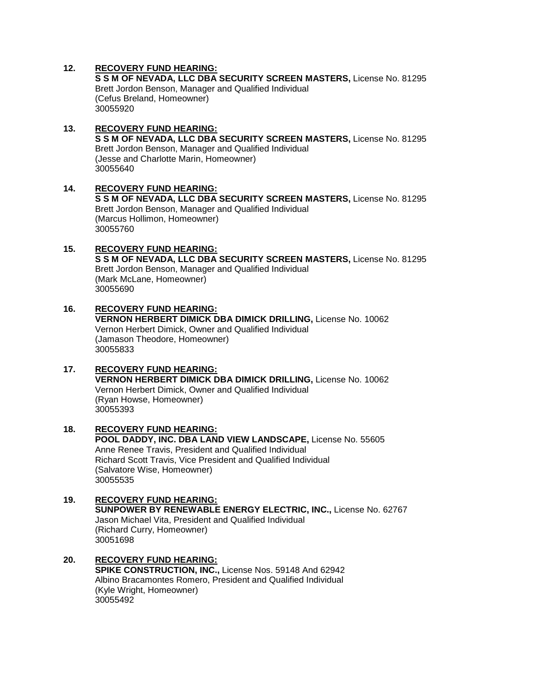## **12. RECOVERY FUND HEARING:**

30055690

**S S M OF NEVADA, LLC DBA SECURITY SCREEN MASTERS,** License No. 81295 Brett Jordon Benson, Manager and Qualified Individual (Cefus Breland, Homeowner) 30055920

#### **13. RECOVERY FUND HEARING: S S M OF NEVADA, LLC DBA SECURITY SCREEN MASTERS,** License No. 81295 Brett Jordon Benson, Manager and Qualified Individual (Jesse and Charlotte Marin, Homeowner) 30055640

**14. RECOVERY FUND HEARING: S S M OF NEVADA, LLC DBA SECURITY SCREEN MASTERS,** License No. 81295 Brett Jordon Benson, Manager and Qualified Individual (Marcus Hollimon, Homeowner) 30055760

#### **15. RECOVERY FUND HEARING: S S M OF NEVADA, LLC DBA SECURITY SCREEN MASTERS,** License No. 81295 Brett Jordon Benson, Manager and Qualified Individual (Mark McLane, Homeowner)

**16. RECOVERY FUND HEARING: VERNON HERBERT DIMICK DBA DIMICK DRILLING,** License No. 10062 Vernon Herbert Dimick, Owner and Qualified Individual (Jamason Theodore, Homeowner) 30055833

## **17. RECOVERY FUND HEARING: VERNON HERBERT DIMICK DBA DIMICK DRILLING,** License No. 10062 Vernon Herbert Dimick, Owner and Qualified Individual (Ryan Howse, Homeowner) 30055393

#### **18. RECOVERY FUND HEARING: POOL DADDY, INC. DBA LAND VIEW LANDSCAPE,** License No. 55605 Anne Renee Travis, President and Qualified Individual Richard Scott Travis, Vice President and Qualified Individual (Salvatore Wise, Homeowner) 30055535

#### **19. RECOVERY FUND HEARING: SUNPOWER BY RENEWABLE ENERGY ELECTRIC, INC.,** License No. 62767 Jason Michael Vita, President and Qualified Individual (Richard Curry, Homeowner) 30051698

#### **20. RECOVERY FUND HEARING: SPIKE CONSTRUCTION, INC.,** License Nos. 59148 And 62942 Albino Bracamontes Romero, President and Qualified Individual (Kyle Wright, Homeowner) 30055492